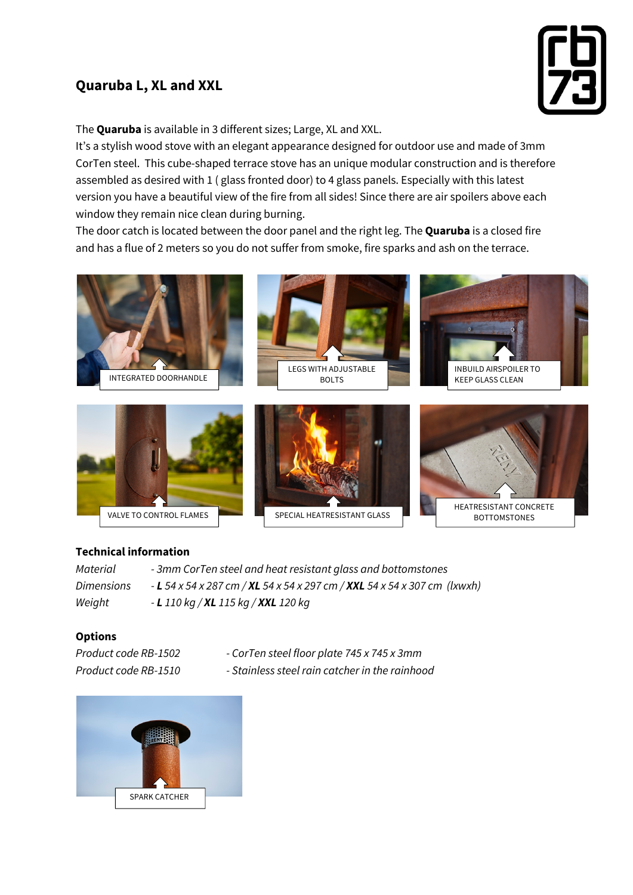## **Quaruba L, XL and XXL**



The **Quaruba** is available in 3 different sizes; Large, XL and XXL.

It's a stylish wood stove with an elegant appearance designed for outdoor use and made of 3mm CorTen steel. This cube-shaped terrace stove has an unique modular construction and is therefore assembled as desired with 1 ( glass fronted door) to 4 glass panels. Especially with this latest version you have a beautiful view of the fire from all sides! Since there are air spoilers above each window they remain nice clean during burning.

The door catch is located between the door panel and the right leg. The **Quaruba** is a closed fire and has a flue of 2 meters so you do not suffer from smoke, fire sparks and ash on the terrace.











## **Technical information**

*Material - 3mm CorTen steel and heat resistant glass and bottomstones Dimensions - L 54 x 54 x 287 cm / XL 54 x 54 x 297 cm / XXL 54 x 54 x 307 cm (lxwxh) Weight - L 110 kg / XL 115 kg / XXL 120 kg*

## **Options**

- *Product code RB-1502 - CorTen steel floor plate 745 x 745 x 3mm*
- *Product code RB-1510 - Stainless steel rain catcher in the rainhood*